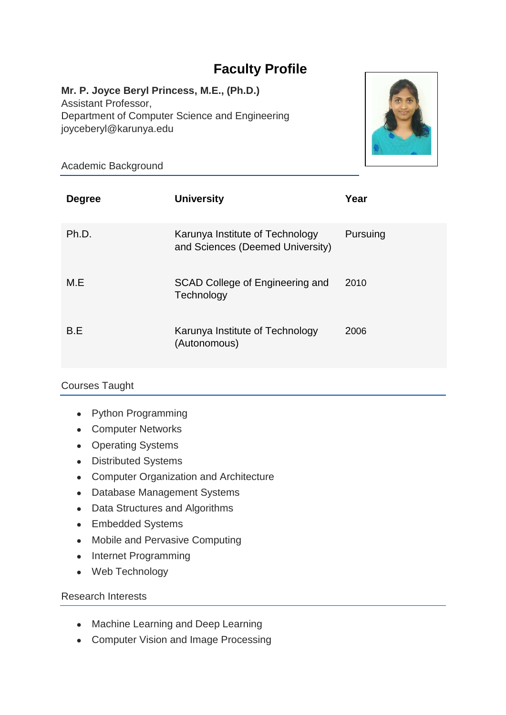# **Faculty Profile**

#### **Mr. P. Joyce Beryl Princess, M.E., (Ph.D.)**

Assistant Professor, Department of Computer Science and Engineering joyceberyl@karunya.edu



Academic Background

| <b>Degree</b> | <b>University</b>                                                   | Year     |
|---------------|---------------------------------------------------------------------|----------|
| Ph.D.         | Karunya Institute of Technology<br>and Sciences (Deemed University) | Pursuing |
| M.E           | SCAD College of Engineering and<br>Technology                       | 2010     |
| B.E           | Karunya Institute of Technology<br>(Autonomous)                     | 2006     |

## Courses Taught

- Python Programming
- Computer Networks
- Operating Systems
- Distributed Systems
- Computer Organization and Architecture
- Database Management Systems
- Data Structures and Algorithms
- Embedded Systems
- Mobile and Pervasive Computing
- Internet Programming
- Web Technology

### Research Interests

- Machine Learning and Deep Learning
- Computer Vision and Image Processing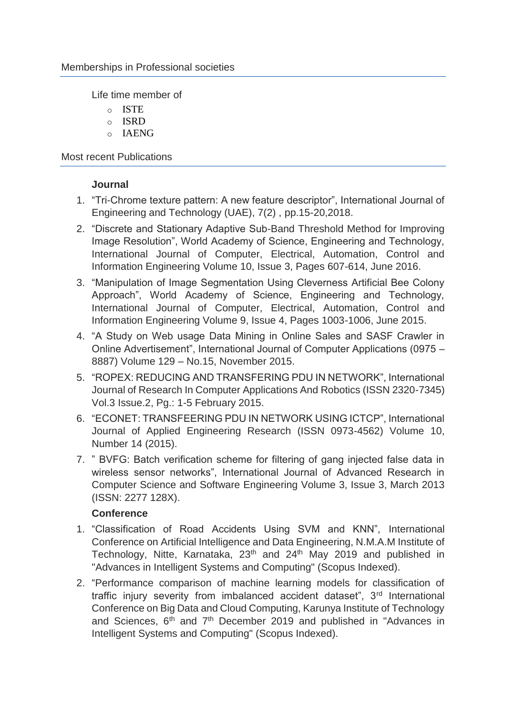Life time member of

- o ISTE
- o ISRD
- o IAENG

Most recent Publications

### **Journal**

- 1. "Tri-Chrome texture pattern: A new feature descriptor", International Journal of Engineering and Technology (UAE), 7(2) , pp.15-20,2018.
- 2. "Discrete and Stationary Adaptive Sub-Band Threshold Method for Improving Image Resolution", World Academy of Science, Engineering and Technology, International Journal of Computer, Electrical, Automation, Control and Information Engineering Volume 10, Issue 3, Pages 607-614, June 2016.
- 3. "Manipulation of Image Segmentation Using Cleverness Artificial Bee Colony Approach", World Academy of Science, Engineering and Technology, International Journal of Computer, Electrical, Automation, Control and Information Engineering Volume 9, Issue 4, Pages 1003-1006, June 2015.
- 4. "A Study on Web usage Data Mining in Online Sales and SASF Crawler in Online Advertisement", International Journal of Computer Applications (0975 – 8887) Volume 129 – No.15, November 2015.
- 5. "ROPEX: REDUCING AND TRANSFERING PDU IN NETWORK", International Journal of Research In Computer Applications And Robotics (ISSN 2320-7345) Vol.3 Issue.2, Pg.: 1-5 February 2015.
- 6. "ECONET: TRANSFEERING PDU IN NETWORK USING ICTCP", International Journal of Applied Engineering Research (ISSN 0973-4562) Volume 10, Number 14 (2015).
- 7. " BVFG: Batch verification scheme for filtering of gang injected false data in wireless sensor networks", International Journal of Advanced Research in Computer Science and Software Engineering Volume 3, Issue 3, March 2013 (ISSN: 2277 128X).

### **Conference**

- 1. "Classification of Road Accidents Using SVM and KNN", International Conference on Artificial Intelligence and Data Engineering, N.M.A.M Institute of Technology, Nitte, Karnataka, 23<sup>th</sup> and 24<sup>th</sup> May 2019 and published in "Advances in Intelligent Systems and Computing" (Scopus Indexed).
- 2. "Performance comparison of machine learning models for classification of traffic injury severity from imbalanced accident dataset", 3<sup>rd</sup> International Conference on Big Data and Cloud Computing, Karunya Institute of Technology and Sciences,  $6<sup>th</sup>$  and  $7<sup>th</sup>$  December 2019 and published in "Advances in Intelligent Systems and Computing" (Scopus Indexed).